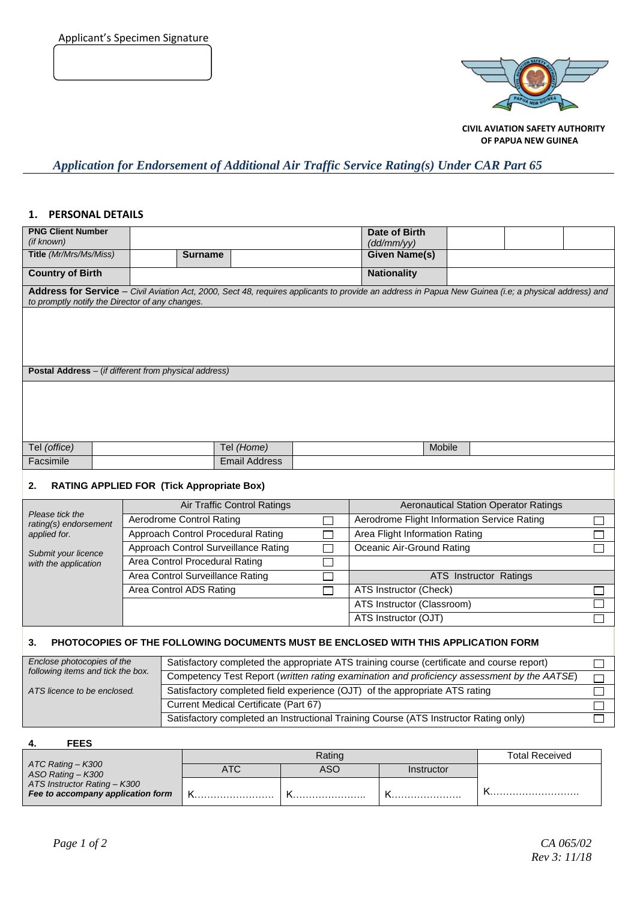

 **CIVIL AVIATION SAFETY AUTHORITY OF PAPUA NEW GUINEA**

# *Application for Endorsement of Additional Air Traffic Service Rating(s) Under CAR Part 65*

### **1. PERSONAL DETAILS**

| <b>PNG Client Number</b>                                                                                                                                                                                |                                                                             |                                                                                             |                      |                               | Date of Birth                               |        |  |                |
|---------------------------------------------------------------------------------------------------------------------------------------------------------------------------------------------------------|-----------------------------------------------------------------------------|---------------------------------------------------------------------------------------------|----------------------|-------------------------------|---------------------------------------------|--------|--|----------------|
| (if known)<br>Title (Mr/Mrs/Ms/Miss)                                                                                                                                                                    |                                                                             |                                                                                             |                      |                               | (dd/mm/yy)<br><b>Given Name(s)</b>          |        |  |                |
|                                                                                                                                                                                                         |                                                                             | <b>Surname</b>                                                                              |                      |                               |                                             |        |  |                |
| <b>Country of Birth</b>                                                                                                                                                                                 |                                                                             |                                                                                             |                      |                               | <b>Nationality</b>                          |        |  |                |
| Address for Service - Civil Aviation Act, 2000, Sect 48, requires applicants to provide an address in Papua New Guinea (i.e; a physical address) and<br>to promptly notify the Director of any changes. |                                                                             |                                                                                             |                      |                               |                                             |        |  |                |
|                                                                                                                                                                                                         |                                                                             |                                                                                             |                      |                               |                                             |        |  |                |
|                                                                                                                                                                                                         |                                                                             |                                                                                             |                      |                               |                                             |        |  |                |
|                                                                                                                                                                                                         |                                                                             |                                                                                             |                      |                               |                                             |        |  |                |
| Postal Address - (if different from physical address)                                                                                                                                                   |                                                                             |                                                                                             |                      |                               |                                             |        |  |                |
|                                                                                                                                                                                                         |                                                                             |                                                                                             |                      |                               |                                             |        |  |                |
|                                                                                                                                                                                                         |                                                                             |                                                                                             |                      |                               |                                             |        |  |                |
|                                                                                                                                                                                                         |                                                                             |                                                                                             |                      |                               |                                             |        |  |                |
|                                                                                                                                                                                                         |                                                                             |                                                                                             |                      |                               |                                             |        |  |                |
| Tel (office)                                                                                                                                                                                            |                                                                             |                                                                                             | Tel (Home)           |                               |                                             | Mobile |  |                |
| Facsimile                                                                                                                                                                                               |                                                                             |                                                                                             | <b>Email Address</b> |                               |                                             |        |  |                |
|                                                                                                                                                                                                         |                                                                             |                                                                                             |                      |                               |                                             |        |  |                |
| <b>RATING APPLIED FOR (Tick Appropriate Box)</b><br>2.                                                                                                                                                  |                                                                             |                                                                                             |                      |                               |                                             |        |  |                |
|                                                                                                                                                                                                         | Air Traffic Control Ratings<br><b>Aeronautical Station Operator Ratings</b> |                                                                                             |                      |                               |                                             |        |  |                |
| Please tick the<br>rating(s) endorsement                                                                                                                                                                | <b>Aerodrome Control Rating</b><br>$\Box$                                   |                                                                                             |                      |                               | Aerodrome Flight Information Service Rating |        |  | <b>College</b> |
| applied for.                                                                                                                                                                                            | Approach Control Procedural Rating                                          |                                                                                             |                      | $\Box$                        | Area Flight Information Rating              |        |  |                |
| Submit your licence                                                                                                                                                                                     |                                                                             | Approach Control Surveillance Rating<br>$\Box$                                              |                      |                               | Oceanic Air-Ground Rating                   |        |  |                |
| with the application                                                                                                                                                                                    |                                                                             | Area Control Procedural Rating<br>$\Box$                                                    |                      |                               |                                             |        |  |                |
|                                                                                                                                                                                                         |                                                                             | Area Control Surveillance Rating                                                            |                      |                               | ATS Instructor Ratings                      |        |  |                |
| Area Control ADS Rating                                                                                                                                                                                 |                                                                             |                                                                                             | П                    | <b>ATS Instructor (Check)</b> |                                             |        |  |                |
|                                                                                                                                                                                                         |                                                                             |                                                                                             |                      | ATS Instructor (Classroom)    |                                             |        |  |                |
|                                                                                                                                                                                                         |                                                                             |                                                                                             |                      |                               | ATS Instructor (OJT)                        |        |  |                |
| PHOTOCOPIES OF THE FOLLOWING DOCUMENTS MUST BE ENCLOSED WITH THIS APPLICATION FORM<br>3.                                                                                                                |                                                                             |                                                                                             |                      |                               |                                             |        |  |                |
| Enclose photocopies of the<br>following items and tick the box.                                                                                                                                         |                                                                             | Satisfactory completed the appropriate ATS training course (certificate and course report)  |                      |                               |                                             |        |  | $\sim$         |
|                                                                                                                                                                                                         |                                                                             | Competency Test Report (written rating examination and proficiency assessment by the AATSE) |                      |                               |                                             |        |  |                |
| ATS licence to be enclosed.                                                                                                                                                                             |                                                                             | Satisfactory completed field experience (OJT) of the appropriate ATS rating                 |                      |                               |                                             |        |  |                |
|                                                                                                                                                                                                         |                                                                             | Current Medical Certificate (Part 67)                                                       |                      |                               |                                             |        |  |                |

#### **4. FEES**

|                                        |     | <b>Total Received</b> |            |  |
|----------------------------------------|-----|-----------------------|------------|--|
| ATC Rating - K300<br>ASO Rating - K300 | ATC | ASO                   | Instructor |  |
| ATS Instructor Rating - K300           |     |                       |            |  |
| Fee to accompany application form      |     |                       |            |  |

Satisfactory completed an Instructional Training Course (ATS Instructor Rating only)